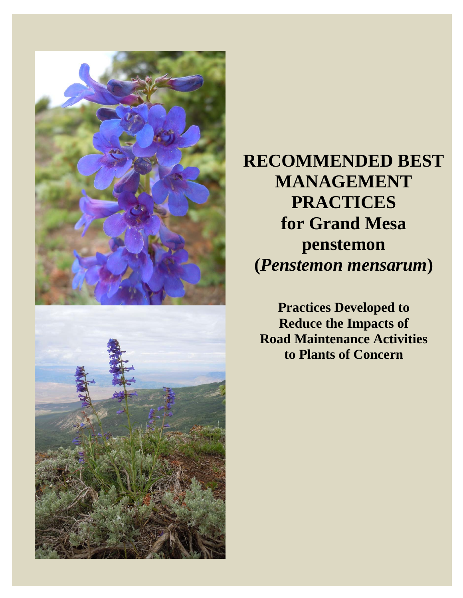

**RECOMMENDED BEST MANAGEMENT PRACTICES for Grand Mesa penstemon (***Penstemon mensarum***)** 

**Practices Developed to Reduce the Impacts of Road Maintenance Activities to Plants of Concern**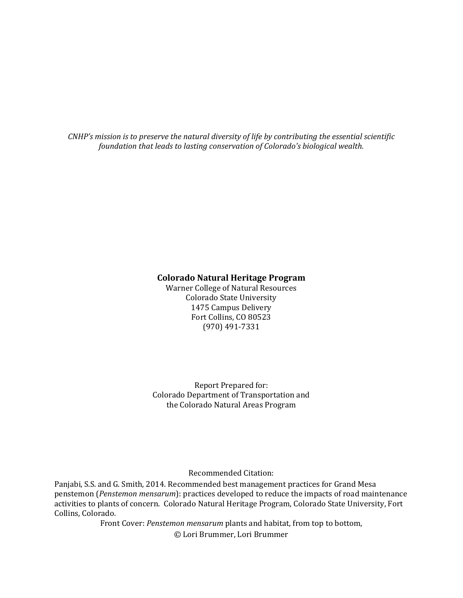*CNHP's mission is to preserve the natural diversity of life by contributing the essential scientific foundation that leads to lasting conservation of Colorado's biological wealth.*

#### **Colorado Natural Heritage Program**

Warner College of Natural Resources Colorado State University 1475 Campus Delivery Fort Collins, CO 80523 (970) 491‐7331 

Report Prepared for: Colorado Department of Transportation and the Colorado Natural Areas Program

Recommended Citation: 

Panjabi, S.S. and G. Smith, 2014. Recommended best management practices for Grand Mesa penstemon (Penstemon mensarum): practices developed to reduce the impacts of road maintenance activities to plants of concern. Colorado Natural Heritage Program, Colorado State University, Fort Collins, Colorado.

> Front Cover: *Penstemon mensarum* plants and habitat, from top to bottom, © Lori Brummer, Lori Brummer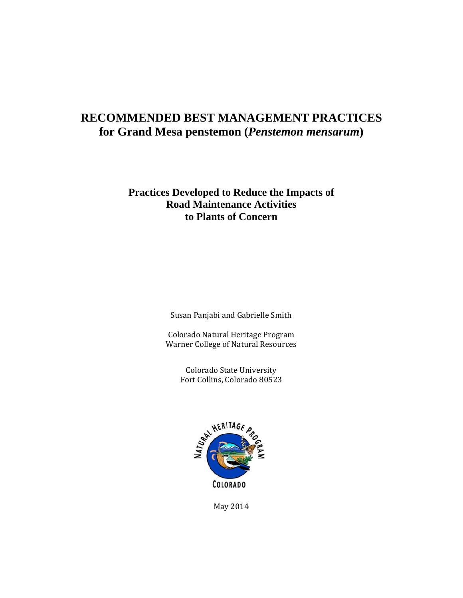### **RECOMMENDED BEST MANAGEMENT PRACTICES for Grand Mesa penstemon (***Penstemon mensarum***)**

### **Practices Developed to Reduce the Impacts of Road Maintenance Activities to Plants of Concern**

Susan Panjabi and Gabrielle Smith

Colorado Natural Heritage Program Warner College of Natural Resources

> Colorado State University Fort Collins, Colorado 80523



May 2014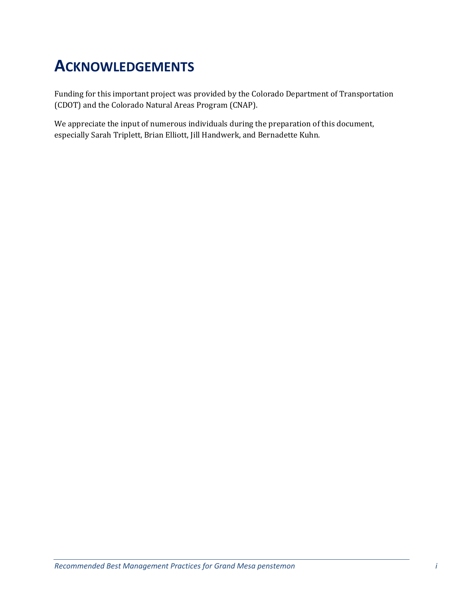# **ACKNOWLEDGEMENTS**

Funding for this important project was provided by the Colorado Department of Transportation (CDOT) and the Colorado Natural Areas Program (CNAP).

We appreciate the input of numerous individuals during the preparation of this document, especially Sarah Triplett, Brian Elliott, Jill Handwerk, and Bernadette Kuhn.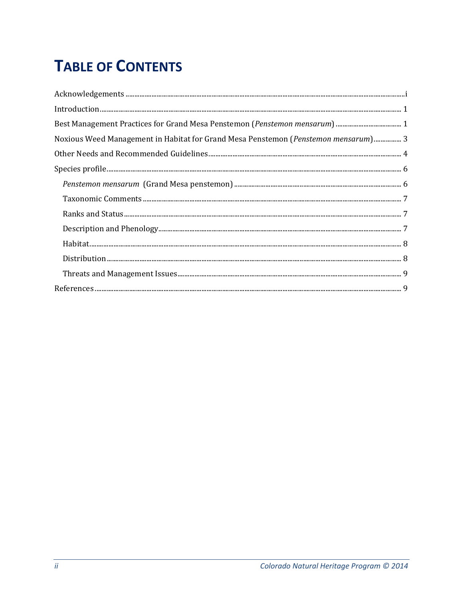# **TABLE OF CONTENTS**

| Noxious Weed Management in Habitat for Grand Mesa Penstemon (Penstemon mensarum) 3                                                                                                                                                                                                                                                                                                             |
|------------------------------------------------------------------------------------------------------------------------------------------------------------------------------------------------------------------------------------------------------------------------------------------------------------------------------------------------------------------------------------------------|
|                                                                                                                                                                                                                                                                                                                                                                                                |
| $\textsc{Species profile} \textit{} \textit{} \textit{} \textit{} \textit{} \textit{} \textit{} \textit{} \textit{} \textit{} \textit{} \textit{} \textit{} \textit{} \textit{} \textit{} \textit{} \textit{} \textit{} \textit{} \textit{} \textit{} \textit{} \textit{} \textit{} \textit{} \textit{} \textit{} \textit{} \textit{} \textit{} \textit{} \textit{} \textit{} \textit{} \text$ |
|                                                                                                                                                                                                                                                                                                                                                                                                |
|                                                                                                                                                                                                                                                                                                                                                                                                |
|                                                                                                                                                                                                                                                                                                                                                                                                |
|                                                                                                                                                                                                                                                                                                                                                                                                |
|                                                                                                                                                                                                                                                                                                                                                                                                |
|                                                                                                                                                                                                                                                                                                                                                                                                |
|                                                                                                                                                                                                                                                                                                                                                                                                |
|                                                                                                                                                                                                                                                                                                                                                                                                |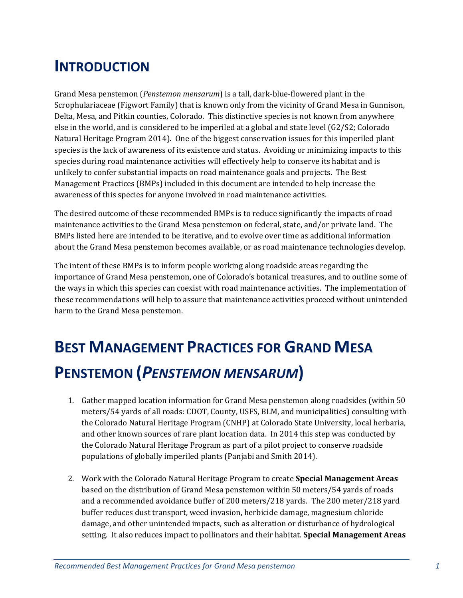## **INTRODUCTION**

Grand Mesa penstemon (*Penstemon mensarum*) is a tall, dark-blue-flowered plant in the Scrophulariaceae (Figwort Family) that is known only from the vicinity of Grand Mesa in Gunnison, Delta, Mesa, and Pitkin counties, Colorado. This distinctive species is not known from anywhere else in the world, and is considered to be imperiled at a global and state level  $(G2/S2; Colorado)$ Natural Heritage Program 2014). One of the biggest conservation issues for this imperiled plant species is the lack of awareness of its existence and status. Avoiding or minimizing impacts to this species during road maintenance activities will effectively help to conserve its habitat and is unlikely to confer substantial impacts on road maintenance goals and projects. The Best Management Practices (BMPs) included in this document are intended to help increase the awareness of this species for anyone involved in road maintenance activities.

The desired outcome of these recommended BMPs is to reduce significantly the impacts of road maintenance activities to the Grand Mesa penstemon on federal, state, and/or private land. The BMPs listed here are intended to be iterative, and to evolve over time as additional information about the Grand Mesa penstemon becomes available, or as road maintenance technologies develop.

The intent of these BMPs is to inform people working along roadside areas regarding the importance of Grand Mesa penstemon, one of Colorado's botanical treasures, and to outline some of the ways in which this species can coexist with road maintenance activities. The implementation of these recommendations will help to assure that maintenance activities proceed without unintended harm to the Grand Mesa penstemon.

# **BEST MANAGEMENT PRACTICES FOR GRAND MESA PENSTEMON (***PENSTEMON MENSARUM***)**

- 1. Gather mapped location information for Grand Mesa penstemon along roadsides (within 50) meters/54 yards of all roads: CDOT, County, USFS, BLM, and municipalities) consulting with the Colorado Natural Heritage Program (CNHP) at Colorado State University, local herbaria, and other known sources of rare plant location data. In 2014 this step was conducted by the Colorado Natural Heritage Program as part of a pilot project to conserve roadside populations of globally imperiled plants (Panjabi and Smith 2014).
- 2. Work with the Colorado Natural Heritage Program to create **Special Management Areas** based on the distribution of Grand Mesa penstemon within 50 meters/54 yards of roads and a recommended avoidance buffer of 200 meters/218 yards. The 200 meter/218 yard buffer reduces dust transport, weed invasion, herbicide damage, magnesium chloride damage, and other unintended impacts, such as alteration or disturbance of hydrological setting. It also reduces impact to pollinators and their habitat. **Special Management Areas**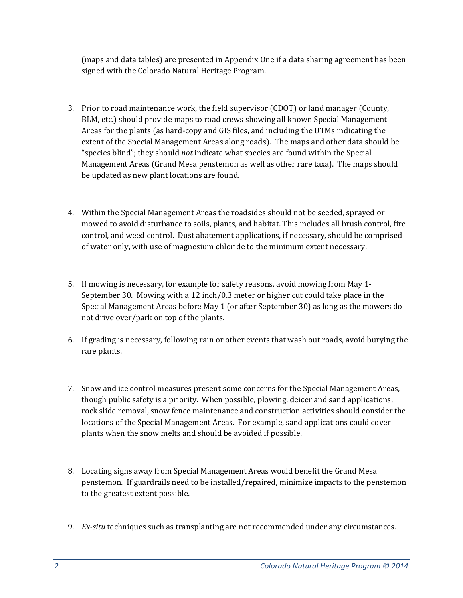(maps and data tables) are presented in Appendix One if a data sharing agreement has been signed with the Colorado Natural Heritage Program.

- 3. Prior to road maintenance work, the field supervisor (CDOT) or land manager (County, BLM, etc.) should provide maps to road crews showing all known Special Management Areas for the plants (as hard-copy and GIS files, and including the UTMs indicating the extent of the Special Management Areas along roads). The maps and other data should be "species blind"; they should *not* indicate what species are found within the Special Management Areas (Grand Mesa penstemon as well as other rare taxa). The maps should be updated as new plant locations are found.
- 4. Within the Special Management Areas the roadsides should not be seeded, sprayed or mowed to avoid disturbance to soils, plants, and habitat. This includes all brush control, fire control, and weed control. Dust abatement applications, if necessary, should be comprised of water only, with use of magnesium chloride to the minimum extent necessary.
- 5. If mowing is necessary, for example for safety reasons, avoid mowing from May 1-September 30. Mowing with a 12 inch/0.3 meter or higher cut could take place in the Special Management Areas before May 1 (or after September 30) as long as the mowers do not drive over/park on top of the plants.
- 6. If grading is necessary, following rain or other events that wash out roads, avoid burying the rare plants.
- 7. Snow and ice control measures present some concerns for the Special Management Areas, though public safety is a priority. When possible, plowing, deicer and sand applications, rock slide removal, snow fence maintenance and construction activities should consider the locations of the Special Management Areas. For example, sand applications could cover plants when the snow melts and should be avoided if possible.
- 8. Locating signs away from Special Management Areas would benefit the Grand Mesa penstemon. If guardrails need to be installed/repaired, minimize impacts to the penstemon to the greatest extent possible.
- 9. *Ex-situ* techniques such as transplanting are not recommended under any circumstances.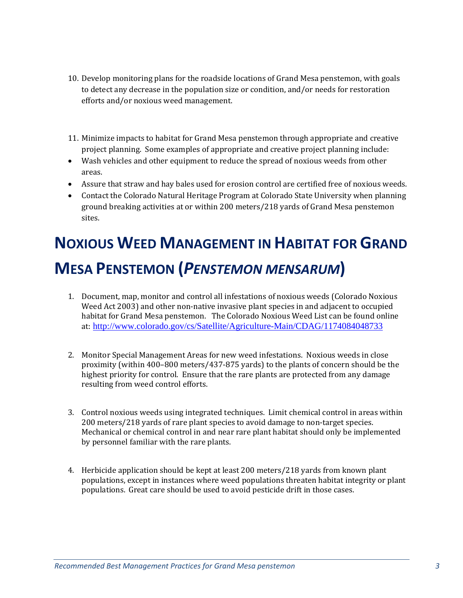- 10. Develop monitoring plans for the roadside locations of Grand Mesa penstemon, with goals to detect any decrease in the population size or condition, and/or needs for restoration efforts and/or noxious weed management.
- 11. Minimize impacts to habitat for Grand Mesa penstemon through appropriate and creative project planning. Some examples of appropriate and creative project planning include:
- Wash vehicles and other equipment to reduce the spread of noxious weeds from other areas.
- Assure that straw and hay bales used for erosion control are certified free of noxious weeds.
- Contact the Colorado Natural Heritage Program at Colorado State University when planning ground breaking activities at or within 200 meters/218 yards of Grand Mesa penstemon sites.

# **NOXIOUS WEED MANAGEMENT IN HABITAT FOR GRAND MESA PENSTEMON (***PENSTEMON MENSARUM***)**

- 1. Document, map, monitor and control all infestations of noxious weeds (Colorado Noxious Weed Act 2003) and other non-native invasive plant species in and adjacent to occupied habitat for Grand Mesa penstemon. The Colorado Noxious Weed List can be found online at: http://www.colorado.gov/cs/Satellite/Agriculture-Main/CDAG/1174084048733
- 2. Monitor Special Management Areas for new weed infestations. Noxious weeds in close proximity (within  $400-800$  meters/437-875 yards) to the plants of concern should be the highest priority for control. Ensure that the rare plants are protected from any damage resulting from weed control efforts.
- 3. Control noxious weeds using integrated techniques. Limit chemical control in areas within 200 meters/218 yards of rare plant species to avoid damage to non-target species. Mechanical or chemical control in and near rare plant habitat should only be implemented by personnel familiar with the rare plants.
- 4. Herbicide application should be kept at least 200 meters/218 yards from known plant populations, except in instances where weed populations threaten habitat integrity or plant populations. Great care should be used to avoid pesticide drift in those cases.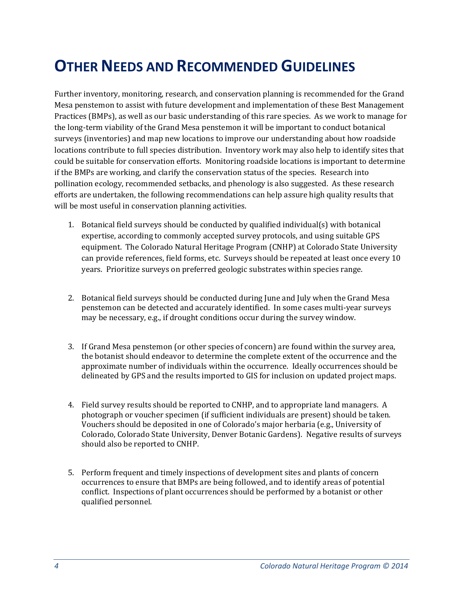## **OTHER NEEDS AND RECOMMENDED GUIDELINES**

Further inventory, monitoring, research, and conservation planning is recommended for the Grand Mesa penstemon to assist with future development and implementation of these Best Management Practices (BMPs), as well as our basic understanding of this rare species. As we work to manage for the long-term viability of the Grand Mesa penstemon it will be important to conduct botanical surveys (inventories) and map new locations to improve our understanding about how roadside locations contribute to full species distribution. Inventory work may also help to identify sites that could be suitable for conservation efforts. Monitoring roadside locations is important to determine if the BMPs are working, and clarify the conservation status of the species. Research into pollination ecology, recommended setbacks, and phenology is also suggested. As these research efforts are undertaken, the following recommendations can help assure high quality results that will be most useful in conservation planning activities.

- 1. Botanical field surveys should be conducted by qualified individual(s) with botanical expertise, according to commonly accepted survey protocols, and using suitable GPS equipment. The Colorado Natural Heritage Program (CNHP) at Colorado State University can provide references, field forms, etc. Surveys should be repeated at least once every 10 years. Prioritize surveys on preferred geologic substrates within species range.
- 2. Botanical field surveys should be conducted during June and July when the Grand Mesa penstemon can be detected and accurately identified. In some cases multi-year surveys may be necessary, e.g., if drought conditions occur during the survey window.
- 3. If Grand Mesa penstemon (or other species of concern) are found within the survey area, the botanist should endeavor to determine the complete extent of the occurrence and the approximate number of individuals within the occurrence. Ideally occurrences should be delineated by GPS and the results imported to GIS for inclusion on updated project maps.
- 4. Field survey results should be reported to CNHP, and to appropriate land managers. A photograph or voucher specimen (if sufficient individuals are present) should be taken. Vouchers should be deposited in one of Colorado's major herbaria (e.g., University of Colorado, Colorado State University, Denver Botanic Gardens). Negative results of surveys should also be reported to CNHP.
- 5. Perform frequent and timely inspections of development sites and plants of concern occurrences to ensure that BMPs are being followed, and to identify areas of potential conflict. Inspections of plant occurrences should be performed by a botanist or other qualified personnel.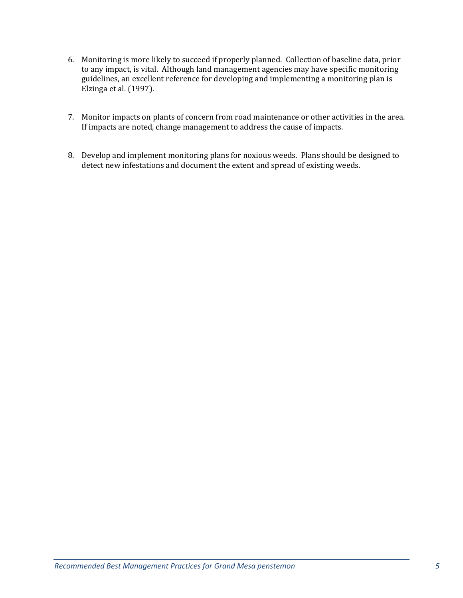- 6. Monitoring is more likely to succeed if properly planned. Collection of baseline data, prior to any impact, is vital. Although land management agencies may have specific monitoring guidelines, an excellent reference for developing and implementing a monitoring plan is Elzinga et al. (1997).
- 7. Monitor impacts on plants of concern from road maintenance or other activities in the area. If impacts are noted, change management to address the cause of impacts.
- 8. Develop and implement monitoring plans for noxious weeds. Plans should be designed to detect new infestations and document the extent and spread of existing weeds.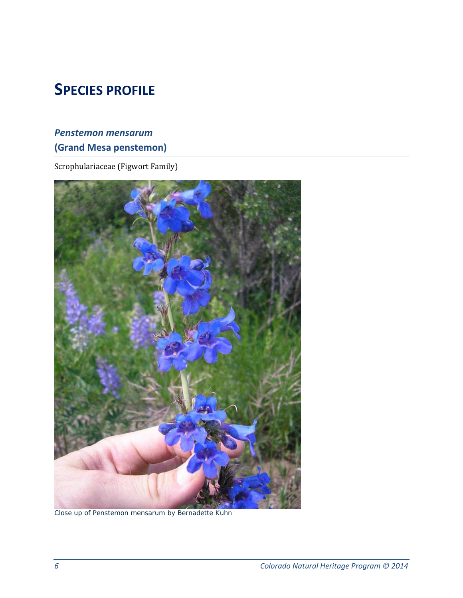## **SPECIES PROFILE**

### *Penstemon mensarum* **(Grand Mesa penstemon)**

Scrophulariaceae (Figwort Family)



Close up of *Penstemon mensarum* by Bernadette Kuhn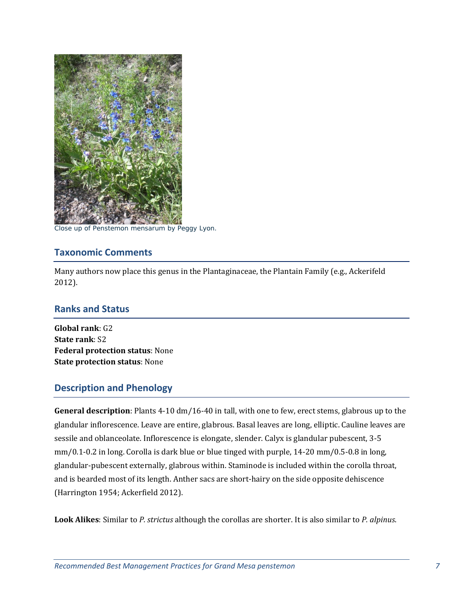

Close up of *Penstemon mensarum* by Peggy Lyon.

#### **Taxonomic Comments**

Many authors now place this genus in the Plantaginaceae, the Plantain Family (e.g., Ackerifeld 2012). 

#### **Ranks and Status**

**Global rank**: G2 **State rank: S2 Federal protection status**: None **State protection status**: None 

#### **Description and Phenology**

**General description**: Plants 4-10 dm/16-40 in tall, with one to few, erect stems, glabrous up to the glandular inflorescence. Leave are entire, glabrous. Basal leaves are long, elliptic. Cauline leaves are sessile and oblanceolate. Inflorescence is elongate, slender. Calyx is glandular pubescent, 3-5  $mm/0.1-0.2$  in long. Corolla is dark blue or blue tinged with purple, 14-20 mm/0.5-0.8 in long, glandular-pubescent externally, glabrous within. Staminode is included within the corolla throat, and is bearded most of its length. Anther sacs are short-hairy on the side opposite dehiscence (Harrington 1954; Ackerfield 2012).

**Look Alikes**: Similar to *P. strictus* although the corollas are shorter. It is also similar to *P. alpinus*.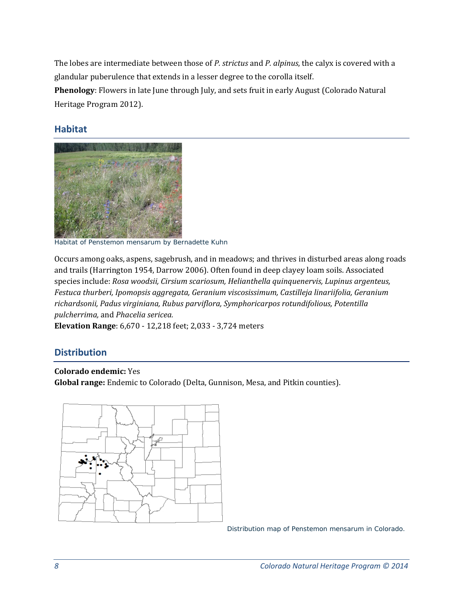The lobes are intermediate between those of *P. strictus* and *P. alpinus*, the calyx is covered with a glandular puberulence that extends in a lesser degree to the corolla itself.

**Phenology**: Flowers in late June through July, and sets fruit in early August (Colorado Natural Heritage Program 2012).

### **Habitat**



Habitat of *Penstemon mensarum* by Bernadette Kuhn

Occurs among oaks, aspens, sagebrush, and in meadows; and thrives in disturbed areas along roads and trails (Harrington 1954, Darrow 2006). Often found in deep clayey loam soils. Associated species include: *Rosa woodsii, Cirsium scariosum, Helianthella quinquenervis, Lupinus argenteus, Festuca thurberi, Ipomopsis aggregata, Geranium viscosissimum, Castilleja linariifolia, Geranium richardsonii, Padus virginiana, Rubus parviflora, Symphoricarpos rotundifolious, Potentilla pulcherrima,* and *Phacelia sericea.* 

**Elevation Range**: 6,670 - 12,218 feet; 2,033 - 3,724 meters

### **Distribution**

**Colorado endemic:** Yes **Global range:** Endemic to Colorado (Delta, Gunnison, Mesa, and Pitkin counties).



Distribution map of *Penstemon mensarum* in Colorado.